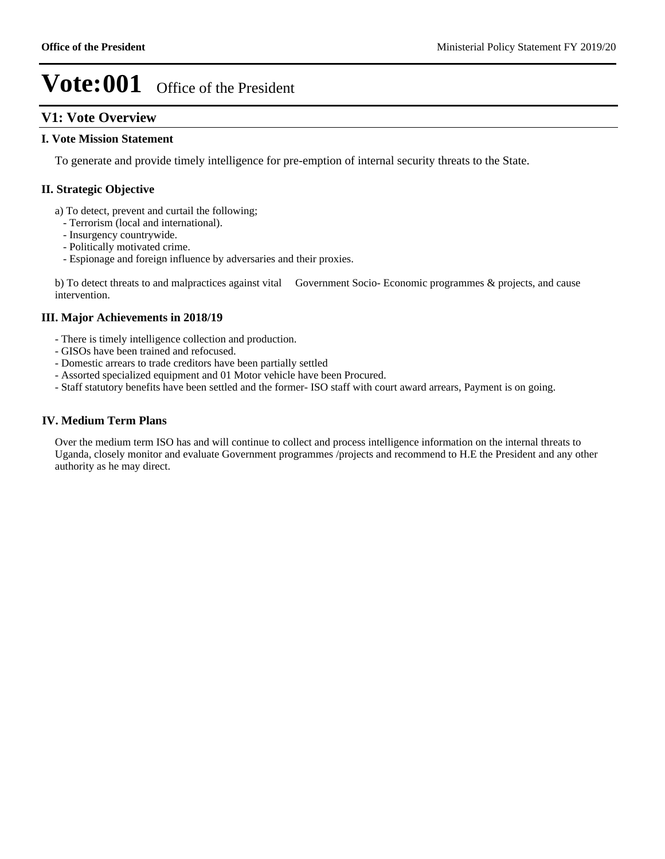## **V1: Vote Overview**

### **I. Vote Mission Statement**

To generate and provide timely intelligence for pre-emption of internal security threats to the State.

### **II. Strategic Objective**

- a) To detect, prevent and curtail the following;
	- Terrorism (local and international).
	- Insurgency countrywide.
	- Politically motivated crime.
	- Espionage and foreign influence by adversaries and their proxies.

b) To detect threats to and malpractices against vital Government Socio- Economic programmes & projects, and cause intervention.

### **III. Major Achievements in 2018/19**

- There is timely intelligence collection and production.
- GISOs have been trained and refocused.
- Domestic arrears to trade creditors have been partially settled
- Assorted specialized equipment and 01 Motor vehicle have been Procured.
- Staff statutory benefits have been settled and the former- ISO staff with court award arrears, Payment is on going.

### **IV. Medium Term Plans**

Over the medium term ISO has and will continue to collect and process intelligence information on the internal threats to Uganda, closely monitor and evaluate Government programmes /projects and recommend to H.E the President and any other authority as he may direct.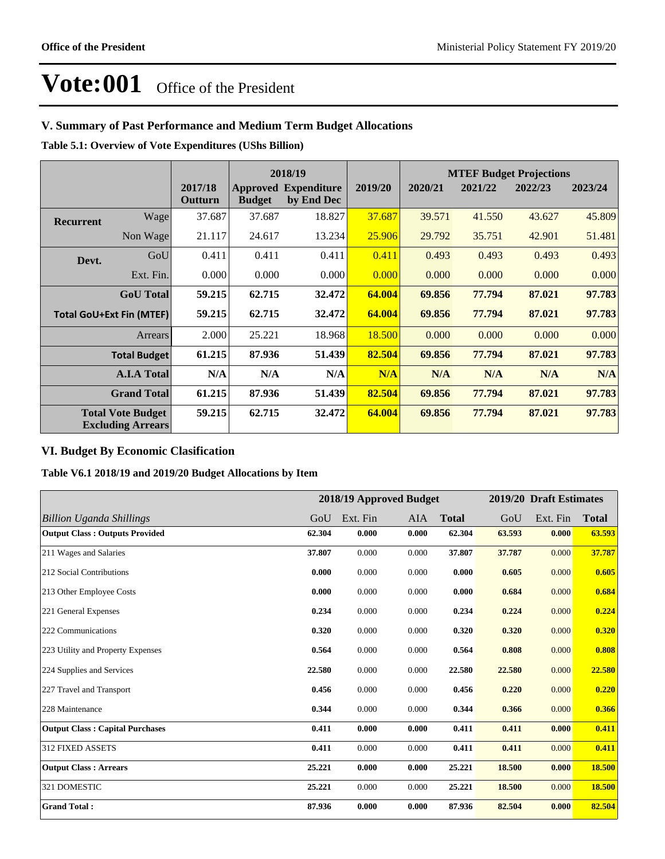## **V. Summary of Past Performance and Medium Term Budget Allocations**

**Table 5.1: Overview of Vote Expenditures (UShs Billion)**

|                  |                                                      |                    |               | 2018/19                                   |         |         |         | <b>MTEF Budget Projections</b> |         |
|------------------|------------------------------------------------------|--------------------|---------------|-------------------------------------------|---------|---------|---------|--------------------------------|---------|
|                  |                                                      | 2017/18<br>Outturn | <b>Budget</b> | <b>Approved Expenditure</b><br>by End Dec | 2019/20 | 2020/21 | 2021/22 | 2022/23                        | 2023/24 |
| <b>Recurrent</b> | Wage                                                 | 37.687             | 37.687        | 18.827                                    | 37.687  | 39.571  | 41.550  | 43.627                         | 45.809  |
|                  | Non Wage                                             | 21.117             | 24.617        | 13.234                                    | 25.906  | 29.792  | 35.751  | 42.901                         | 51.481  |
| Devt.            | GoU                                                  | 0.411              | 0.411         | 0.411                                     | 0.411   | 0.493   | 0.493   | 0.493                          | 0.493   |
|                  | Ext. Fin.                                            | 0.000              | 0.000         | 0.000                                     | 0.000   | 0.000   | 0.000   | 0.000                          | 0.000   |
|                  | <b>GoU</b> Total                                     | 59.215             | 62.715        | 32.472                                    | 64.004  | 69.856  | 77.794  | 87.021                         | 97.783  |
|                  | <b>Total GoU+Ext Fin (MTEF)</b>                      | 59.215             | 62.715        | 32.472                                    | 64.004  | 69.856  | 77.794  | 87.021                         | 97.783  |
|                  | Arrears                                              | 2.000              | 25.221        | 18.968                                    | 18.500  | 0.000   | 0.000   | 0.000                          | 0.000   |
|                  | <b>Total Budget</b>                                  | 61.215             | 87.936        | 51.439                                    | 82.504  | 69.856  | 77.794  | 87.021                         | 97.783  |
|                  | <b>A.I.A Total</b>                                   | N/A                | N/A           | N/A                                       | N/A     | N/A     | N/A     | N/A                            | N/A     |
|                  | <b>Grand Total</b>                                   | 61.215             | 87.936        | 51.439                                    | 82.504  | 69.856  | 77.794  | 87.021                         | 97.783  |
|                  | <b>Total Vote Budget</b><br><b>Excluding Arrears</b> | 59.215             | 62.715        | 32.472                                    | 64.004  | 69.856  | 77.794  | 87.021                         | 97.783  |

## **VI. Budget By Economic Clasification**

**Table V6.1 2018/19 and 2019/20 Budget Allocations by Item**

|                                        |        | 2018/19 Approved Budget |            |              |        | 2019/20 Draft Estimates |              |
|----------------------------------------|--------|-------------------------|------------|--------------|--------|-------------------------|--------------|
| Billion Uganda Shillings               | GoU    | Ext. Fin                | <b>AIA</b> | <b>Total</b> | GoU    | Ext. Fin                | <b>Total</b> |
| <b>Output Class: Outputs Provided</b>  | 62.304 | 0.000                   | 0.000      | 62.304       | 63.593 | 0.000                   | 63.593       |
| 211 Wages and Salaries                 | 37.807 | 0.000                   | 0.000      | 37.807       | 37.787 | 0.000                   | 37.787       |
| 212 Social Contributions               | 0.000  | 0.000                   | 0.000      | 0.000        | 0.605  | 0.000                   | 0.605        |
| 213 Other Employee Costs               | 0.000  | 0.000                   | 0.000      | 0.000        | 0.684  | 0.000                   | 0.684        |
| 221 General Expenses                   | 0.234  | 0.000                   | 0.000      | 0.234        | 0.224  | 0.000                   | 0.224        |
| 222 Communications                     | 0.320  | 0.000                   | 0.000      | 0.320        | 0.320  | 0.000                   | 0.320        |
| 223 Utility and Property Expenses      | 0.564  | 0.000                   | 0.000      | 0.564        | 0.808  | 0.000                   | 0.808        |
| 224 Supplies and Services              | 22.580 | 0.000                   | 0.000      | 22.580       | 22.580 | 0.000                   | 22.580       |
| 227 Travel and Transport               | 0.456  | 0.000                   | 0.000      | 0.456        | 0.220  | 0.000                   | 0.220        |
| 228 Maintenance                        | 0.344  | 0.000                   | 0.000      | 0.344        | 0.366  | 0.000                   | 0.366        |
| <b>Output Class: Capital Purchases</b> | 0.411  | 0.000                   | 0.000      | 0.411        | 0.411  | 0.000                   | 0.411        |
| 312 FIXED ASSETS                       | 0.411  | 0.000                   | 0.000      | 0.411        | 0.411  | 0.000                   | 0.411        |
| <b>Output Class: Arrears</b>           | 25.221 | 0.000                   | 0.000      | 25.221       | 18.500 | 0.000                   | 18.500       |
| 321 DOMESTIC                           | 25.221 | 0.000                   | 0.000      | 25.221       | 18.500 | 0.000                   | 18.500       |
| <b>Grand Total:</b>                    | 87.936 | 0.000                   | 0.000      | 87.936       | 82.504 | 0.000                   | 82.504       |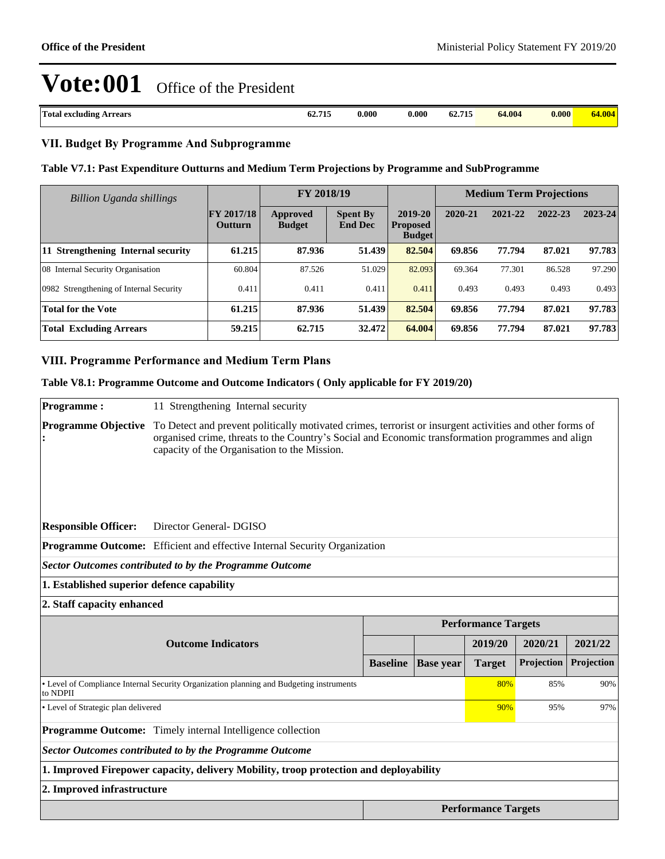| Total<br>Arrears<br>l excluding | 69. H.L<br>62.715 | $0.000\,$ | $0.000\,$ | ---<br>- 62.<br>713 | 64.004 | 0.000 | $\mathbf{m}$<br> |
|---------------------------------|-------------------|-----------|-----------|---------------------|--------|-------|------------------|
|                                 |                   |           |           |                     |        |       |                  |

### **VII. Budget By Programme And Subprogramme**

#### **Table V7.1: Past Expenditure Outturns and Medium Term Projections by Programme and SubProgramme**

| Billion Uganda shillings                |                              | FY 2018/19                       |                                   |                                             |         | <b>Medium Term Projections</b> |         |         |
|-----------------------------------------|------------------------------|----------------------------------|-----------------------------------|---------------------------------------------|---------|--------------------------------|---------|---------|
|                                         | <b>FY 2017/18</b><br>Outturn | <b>Approved</b><br><b>Budget</b> | <b>Spent By</b><br><b>End Dec</b> | 2019-20<br><b>Proposed</b><br><b>Budget</b> | 2020-21 | 2021-22                        | 2022-23 | 2023-24 |
| 11 Strengthening Internal security      | 61.215                       | 87.936                           | 51.439                            | 82.504                                      | 69.856  | 77.794                         | 87.021  | 97.783  |
| 08 Internal Security Organisation       | 60.804                       | 87.526                           | 51.029                            | 82.093                                      | 69.364  | 77.301                         | 86.528  | 97.290  |
| 0982 Strengthening of Internal Security | 0.411                        | 0.411                            | 0.411                             | 0.411                                       | 0.493   | 0.493                          | 0.493   | 0.493   |
| <b>Total for the Vote</b>               | 61.215                       | 87.936                           | 51.439                            | 82.504                                      | 69.856  | 77.794                         | 87.021  | 97.783  |
| <b>Total Excluding Arrears</b>          | 59.215                       | 62.715                           | 32.472                            | 64.004                                      | 69.856  | 77.794                         | 87.021  | 97.783  |

### **VIII. Programme Performance and Medium Term Plans**

#### **Table V8.1: Programme Outcome and Outcome Indicators ( Only applicable for FY 2019/20)**

**Programme :** 11 Strengthening Internal security **Programme Objective**  To Detect and prevent politically motivated crimes, terrorist or insurgent activities and other forms of **:** organised crime, threats to the Country's Social and Economic transformation programmes and align capacity of the Organisation to the Mission. **Responsible Officer:** Director General- DGISO **Programme Outcome:** Efficient and effective Internal Security Organization *Sector Outcomes contributed to by the Programme Outcome* **1. Established superior defence capability 2. Staff capacity enhanced Performance Targets Outcome Indicators 2019/20 2020/21 2021/22 Baseline Base year Target Projection Projection** Level of Compliance Internal Security Organization planning and Budgeting instruments to NDPII 80% 85% 90% Level of Strategic plan delivered 90% 95% 97% **Programme Outcome:** Timely internal Intelligence collection *Sector Outcomes contributed to by the Programme Outcome* **1. Improved Firepower capacity, delivery Mobility, troop protection and deployability 2. Improved infrastructure Performance Targets**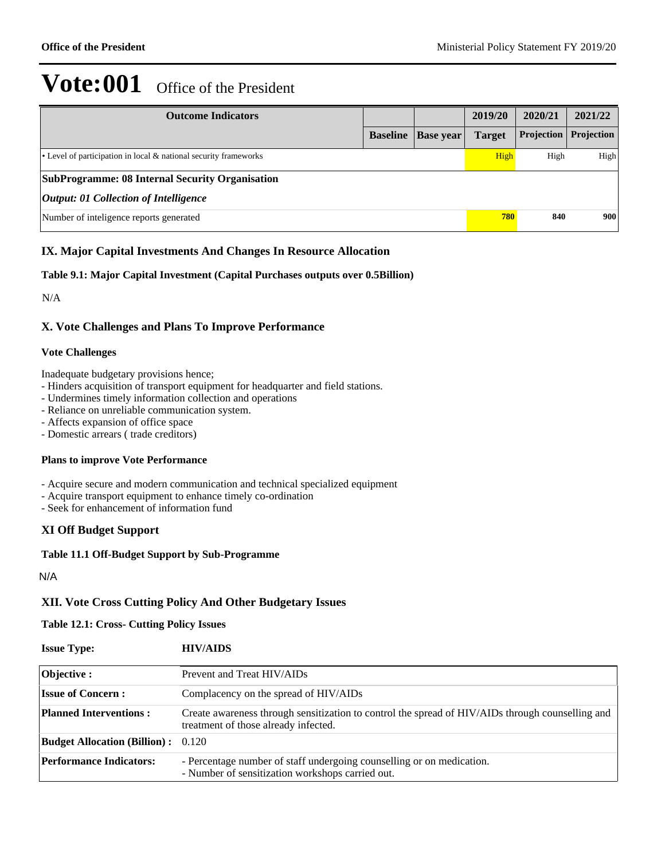| <b>Outcome Indicators</b>                                              |                 |                  | 2019/20       | 2020/21    | 2021/22    |
|------------------------------------------------------------------------|-----------------|------------------|---------------|------------|------------|
|                                                                        | <b>Baseline</b> | <b>Base year</b> | <b>Target</b> | Projection | Projection |
| $\cdot$ Level of participation in local & national security frameworks |                 |                  | High          | High       | High       |
| <b>SubProgramme: 08 Internal Security Organisation</b>                 |                 |                  |               |            |            |
| <i><b>Output: 01 Collection of Intelligence</b></i>                    |                 |                  |               |            |            |
| Number of inteligence reports generated                                |                 |                  | 780           | 840        | 900        |

## **IX. Major Capital Investments And Changes In Resource Allocation**

### **Table 9.1: Major Capital Investment (Capital Purchases outputs over 0.5Billion)**

N/A

## **X. Vote Challenges and Plans To Improve Performance**

### **Vote Challenges**

Inadequate budgetary provisions hence;

- Hinders acquisition of transport equipment for headquarter and field stations.
- Undermines timely information collection and operations
- Reliance on unreliable communication system.
- Affects expansion of office space
- Domestic arrears ( trade creditors)

### **Plans to improve Vote Performance**

- Acquire secure and modern communication and technical specialized equipment
- Acquire transport equipment to enhance timely co-ordination
- Seek for enhancement of information fund

## **XI Off Budget Support**

### **Table 11.1 Off-Budget Support by Sub-Programme**

N/A

## **XII. Vote Cross Cutting Policy And Other Budgetary Issues**

#### **Table 12.1: Cross- Cutting Policy Issues**

| <b>Issue Type:</b>                        | <b>HIV/AIDS</b>                                                                                                                          |
|-------------------------------------------|------------------------------------------------------------------------------------------------------------------------------------------|
| Objective :                               | Prevent and Treat HIV/AIDs                                                                                                               |
| <b>Issue of Concern:</b>                  | Complacency on the spread of HIV/AIDs                                                                                                    |
| <b>Planned Interventions:</b>             | Create awareness through sensitization to control the spread of HIV/AIDs through counselling and<br>treatment of those already infected. |
| <b>Budget Allocation (Billion):</b> 0.120 |                                                                                                                                          |
| <b>Performance Indicators:</b>            | - Percentage number of staff undergoing counselling or on medication.<br>- Number of sensitization workshops carried out.                |